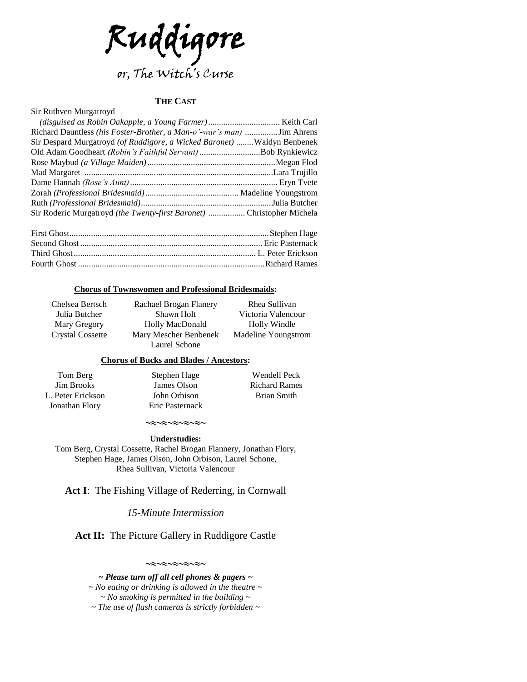

## **THE CAST**

#### Sir Ruthven Murgatroyd

| Richard Dauntless (his Foster-Brother, a Man-o'-war's man)  Jim Ahrens       |                            |
|------------------------------------------------------------------------------|----------------------------|
| Sir Despard Murgatroyd (of Ruddigore, a Wicked Baronet)  Waldyn Benbenek     |                            |
| Old Adam Goodheart (Robin's Faithful Servant) Bob Rynkiewicz                 |                            |
|                                                                              |                            |
|                                                                              |                            |
|                                                                              |                            |
|                                                                              |                            |
|                                                                              |                            |
| Sir Roderic Murgatroyd <i>(the Twenty-first Baronet)</i> Christopher Michela |                            |
| $\Gamma$ $\sim$ $\Gamma$ $\sim$ $\sim$                                       | $\alpha$ . 1. $\alpha$ II. |

### **Chorus of Townswomen and Professional Bridesmaids:**

Chelsea Bertsch Julia Butcher Mary Gregory Crystal Cossette

Rachael Brogan Flanery Shawn Holt Holly MacDonald Mary Mescher Benbenek Laurel Schone

Rhea Sullivan Victoria Valencour Holly Windle Madeline Youngstrom

## **Chorus of Bucks and Blades / Ancestors:**

Tom Berg Jim Brooks L. Peter Erickson Jonathan Flory Stephen Hage James Olson John Orbison Eric Pasternack

Wendell Peck Richard Rames Brian Smith

## $\sim$  $\approx$  $\sim$  $\approx$  $\sim$  $\approx$  $\sim$  $\approx$  $\sim$

**Understudies:** Tom Berg, Crystal Cossette, Rachel Brogan Flannery, Jonathan Flory, Stephen Hage, James Olson, John Orbison, Laurel Schone, Rhea Sullivan, Victoria Valencour

**Act I**: The Fishing Village of Rederring, in Cornwall

*15-Minute Intermission*

**Act II:** The Picture Gallery in Ruddigore Castle

 $\sim$  $\approx$  $\sim$  $\approx$  $\sim$  $\approx$  $\sim$  $\approx$  $\sim$ 

*~ Please turn off all cell phones & pagers ~ ~ No eating or drinking is allowed in the theatre ~ ~ No smoking is permitted in the building ~ ~ The use of flash cameras is strictly forbidden ~*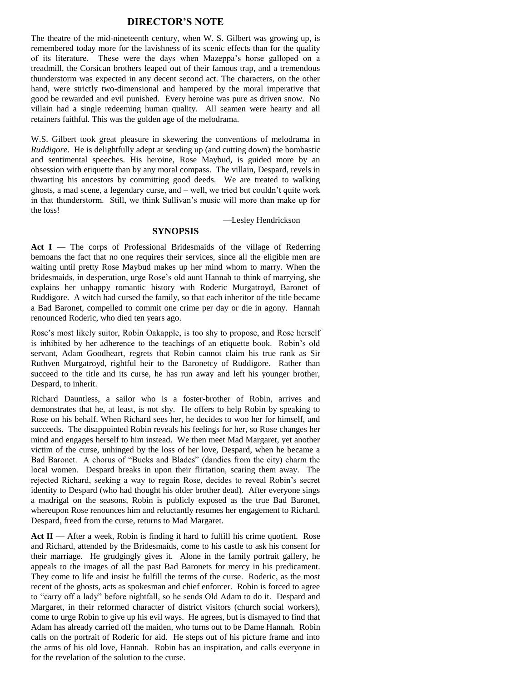## **DIRECTOR'S NOTE**

The theatre of the mid-nineteenth century, when W. S. Gilbert was growing up, is remembered today more for the lavishness of its scenic effects than for the quality of its literature. These were the days when Mazeppa's horse galloped on a treadmill, the Corsican brothers leaped out of their famous trap, and a tremendous thunderstorm was expected in any decent second act. The characters, on the other hand, were strictly two-dimensional and hampered by the moral imperative that good be rewarded and evil punished. Every heroine was pure as driven snow. No villain had a single redeeming human quality. All seamen were hearty and all retainers faithful. This was the golden age of the melodrama.

W.S. Gilbert took great pleasure in skewering the conventions of melodrama in *Ruddigore*. He is delightfully adept at sending up (and cutting down) the bombastic and sentimental speeches. His heroine, Rose Maybud, is guided more by an obsession with etiquette than by any moral compass. The villain, Despard, revels in thwarting his ancestors by committing good deeds. We are treated to walking ghosts, a mad scene, a legendary curse, and – well, we tried but couldn't quite work in that thunderstorm. Still, we think Sullivan's music will more than make up for the loss!

—Lesley Hendrickson

## **SYNOPSIS**

Act I — The corps of Professional Bridesmaids of the village of Rederring bemoans the fact that no one requires their services, since all the eligible men are waiting until pretty Rose Maybud makes up her mind whom to marry. When the bridesmaids, in desperation, urge Rose's old aunt Hannah to think of marrying, she explains her unhappy romantic history with Roderic Murgatroyd, Baronet of Ruddigore. A witch had cursed the family, so that each inheritor of the title became a Bad Baronet, compelled to commit one crime per day or die in agony. Hannah renounced Roderic, who died ten years ago.

Rose's most likely suitor, Robin Oakapple, is too shy to propose, and Rose herself is inhibited by her adherence to the teachings of an etiquette book. Robin's old servant, Adam Goodheart, regrets that Robin cannot claim his true rank as Sir Ruthven Murgatroyd, rightful heir to the Baronetcy of Ruddigore. Rather than succeed to the title and its curse, he has run away and left his younger brother, Despard, to inherit.

Richard Dauntless, a sailor who is a foster-brother of Robin, arrives and demonstrates that he, at least, is not shy. He offers to help Robin by speaking to Rose on his behalf. When Richard sees her, he decides to woo her for himself, and succeeds. The disappointed Robin reveals his feelings for her, so Rose changes her mind and engages herself to him instead. We then meet Mad Margaret, yet another victim of the curse, unhinged by the loss of her love, Despard, when he became a Bad Baronet. A chorus of "Bucks and Blades" (dandies from the city) charm the local women. Despard breaks in upon their flirtation, scaring them away. The rejected Richard, seeking a way to regain Rose, decides to reveal Robin's secret identity to Despard (who had thought his older brother dead). After everyone sings a madrigal on the seasons, Robin is publicly exposed as the true Bad Baronet, whereupon Rose renounces him and reluctantly resumes her engagement to Richard. Despard, freed from the curse, returns to Mad Margaret.

Act II — After a week, Robin is finding it hard to fulfill his crime quotient. Rose and Richard, attended by the Bridesmaids, come to his castle to ask his consent for their marriage. He grudgingly gives it. Alone in the family portrait gallery, he appeals to the images of all the past Bad Baronets for mercy in his predicament. They come to life and insist he fulfill the terms of the curse. Roderic, as the most recent of the ghosts, acts as spokesman and chief enforcer. Robin is forced to agree to "carry off a lady" before nightfall, so he sends Old Adam to do it. Despard and Margaret, in their reformed character of district visitors (church social workers), come to urge Robin to give up his evil ways. He agrees, but is dismayed to find that Adam has already carried off the maiden, who turns out to be Dame Hannah. Robin calls on the portrait of Roderic for aid. He steps out of his picture frame and into the arms of his old love, Hannah. Robin has an inspiration, and calls everyone in for the revelation of the solution to the curse.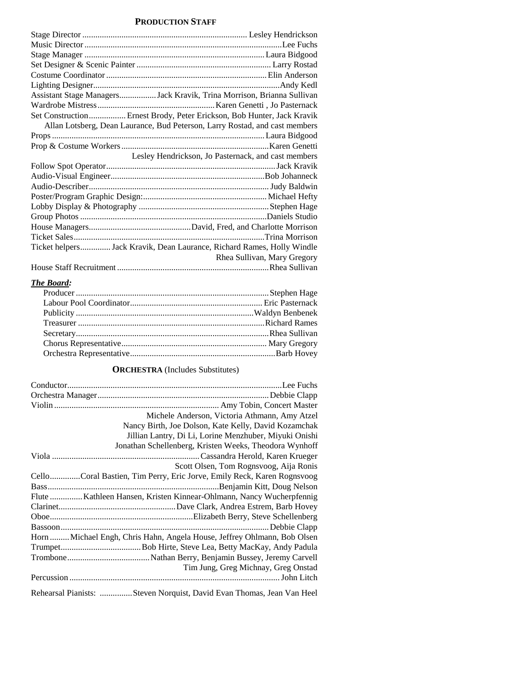## **PRODUCTION STAFF**

| Assistant Stage ManagersJack Kravik, Trina Morrison, Brianna Sullivan  |                                                                             |
|------------------------------------------------------------------------|-----------------------------------------------------------------------------|
|                                                                        |                                                                             |
| Set Construction Ernest Brody, Peter Erickson, Bob Hunter, Jack Kravik |                                                                             |
|                                                                        | Allan Lotsberg, Dean Laurance, Bud Peterson, Larry Rostad, and cast members |
|                                                                        |                                                                             |
|                                                                        |                                                                             |
|                                                                        | Lesley Hendrickson, Jo Pasternack, and cast members                         |
|                                                                        |                                                                             |
|                                                                        |                                                                             |
|                                                                        |                                                                             |
|                                                                        |                                                                             |
|                                                                        |                                                                             |
|                                                                        |                                                                             |
|                                                                        |                                                                             |
|                                                                        |                                                                             |
| Ticket helpers Jack Kravik, Dean Laurance, Richard Rames, Holly Windle |                                                                             |
|                                                                        | Rhea Sullivan, Mary Gregory                                                 |
|                                                                        |                                                                             |

## *The Board:*

## **ORCHESTRA** (Includes Substitutes)

| Michele Anderson, Victoria Athmann, Amy Atzel                            |
|--------------------------------------------------------------------------|
| Nancy Birth, Joe Dolson, Kate Kelly, David Kozamchak                     |
| Jillian Lantry, Di Li, Lorine Menzhuber, Miyuki Onishi                   |
| Jonathan Schellenberg, Kristen Weeks, Theodora Wynhoff                   |
|                                                                          |
| Scott Olsen, Tom Rognsvoog, Aija Ronis                                   |
| CelloCoral Bastien, Tim Perry, Eric Jorve, Emily Reck, Karen Rognsvoog   |
|                                                                          |
| Flute  Kathleen Hansen, Kristen Kinnear-Ohlmann, Nancy Wucherpfennig     |
|                                                                          |
|                                                                          |
|                                                                          |
| Horn  Michael Engh, Chris Hahn, Angela House, Jeffrey Ohlmann, Bob Olsen |
|                                                                          |
|                                                                          |
| Tim Jung, Greg Michnay, Greg Onstad                                      |
|                                                                          |
| Rehearsal Pianists: Steven Norquist, David Evan Thomas, Jean Van Heel    |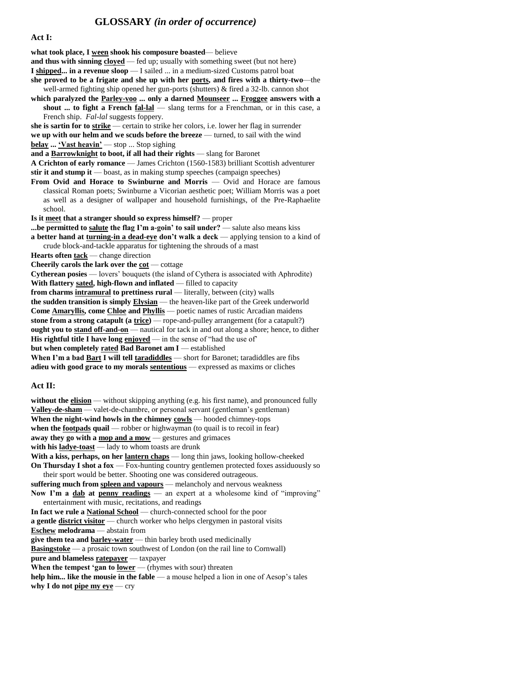## **GLOSSARY** *(in order of occurrence)*

#### **Act I:**

**what took place, I ween shook his composure boasted**— believe

**and thus with sinning cloyed** — fed up; usually with something sweet (but not here)

**I shipped... in a revenue sloop** — I sailed ... in a medium-sized Customs patrol boat

- **she proved to be a frigate and she up with her ports, and fires with a thirty-two**—the well-armed fighting ship opened her gun-ports (shutters) & fired a 32-lb. cannon shot
- **which paralyzed the Parley-voo ... only a darned Mounseer ... Froggee answers with a shout ... to fight a French fal-lal** — slang terms for a Frenchman, or in this case, a French ship. *Fal-lal* suggests foppery.

**she is sartin for to strike** — certain to strike her colors, i.e. lower her flag in surrender **we up with our helm and we scuds before the breeze** — turned, to sail with the wind **belay ... 'Vast heavin'** — stop ... Stop sighing

**and a Barrowknight to boot, if all had their rights** — slang for Baronet

**A Crichton of early romance** — James Crichton (1560-1583) brilliant Scottish adventurer **stir it and stump it** — boast, as in making stump speeches (campaign speeches)

**From Ovid and Horace to Swinburne and Morris** — Ovid and Horace are famous classical Roman poets; Swinburne a Vicorian aesthetic poet; William Morris was a poet as well as a designer of wallpaper and household furnishings, of the Pre-Raphaelite school.

**Is it meet that a stranger should so express himself?** — proper

**...be permitted to salute the flag I'm a-goin' to sail under?** — salute also means kiss **a better hand at turning-in a dead-eye don't walk a deck** — applying tension to a kind of crude block-and-tackle apparatus for tightening the shrouds of a mast

Hearts often **tack** — change direction

**Cheerily carols the lark over the**  $\cot$  **— cottage** 

**Cytherean posies** — lovers' bouquets (the island of Cythera is associated with Aphrodite) **With flattery sated, high-flown and inflated** — filled to capacity

**from charms intramural to prettiness rural** — literally, between (city) walls

**the sudden transition is simply Elysian** — the heaven-like part of the Greek underworld **Come Amaryllis, come Chloe and Phyllis** — poetic names of rustic Arcadian maidens **stone from a strong catapult (a trice)** — rope-and-pulley arrangement (for a catapult?) **ought you to stand off-and-on** — nautical for tack in and out along a shore; hence, to dither **His rightful title I have long**  $\overline{enjoved}$  — in the sense of "had the use of"

**but when completely rated Bad Baronet am I** — established

**When I'm a bad Bart I will tell taradiddles** — short for Baronet; taradiddles are fibs **adieu with good grace to my morals sententious** — expressed as maxims or cliches

#### **Act II:**

**without the elision** — without skipping anything (e.g. his first name), and pronounced fully **Valley-de-sham** — valet-de-chambre, or personal servant (gentleman's gentleman) **When the night-wind howls in the chimney cowls** — hooded chimney-tops **when the <u>footpads</u>** quail — robber or highwayman (to quail is to recoil in fear) **away they go with a mop and a mow** — gestures and grimaces **with his ladye-toast** — lady to whom toasts are drunk **With a kiss, perhaps, on her lantern chaps** — long thin jaws, looking hollow-cheeked **On Thursday I shot a fox** — Fox-hunting country gentlemen protected foxes assiduously so their sport would be better. Shooting one was considered outrageous. **suffering much from spleen and vapours** — melancholy and nervous weakness Now I'm a dab at penny readings — an expert at a wholesome kind of "improving" entertainment with music, recitations, and readings **In fact we rule a National School** — church-connected school for the poor **a gentle district visitor** — church worker who helps clergymen in pastoral visits **Eschew melodrama** — abstain from **give them tea and barley-water** — thin barley broth used medicinally **Basingstoke** — a prosaic town southwest of London (on the rail line to Cornwall) **pure and blameless ratepayer** — taxpayer **When the tempest 'gan to lower** — (rhymes with sour) threaten **help him... like the mousie in the fable** — a mouse helped a lion in one of Aesop's tales **why I do not pipe my eye** — cry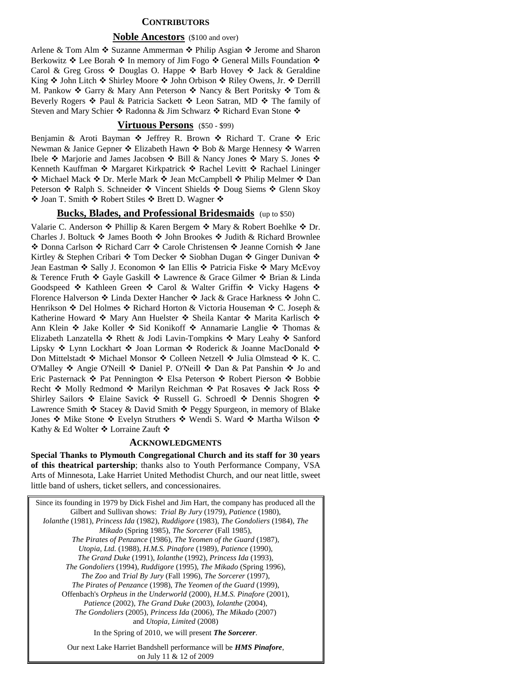## **CONTRIBUTORS**

#### **Noble Ancestors** (\$100 and over)

Arlene & Tom Alm  $\triangle$  Suzanne Ammerman  $\triangle$  Philip Asgian  $\triangle$  Jerome and Sharon Berkowitz  $\triangleleft$  Lee Borah  $\triangleleft$  In memory of Jim Fogo  $\triangleleft$  General Mills Foundation  $\triangleleft$ Carol & Greg Gross  $\triangle$  Douglas O. Happe  $\triangle$  Barb Hovey  $\triangle$  Jack & Geraldine King  $\cdot$  John Litch  $\cdot$  Shirley Moore  $\cdot$  John Orbison  $\cdot$  Riley Owens, Jr.  $\cdot$  Derrill M. Pankow  $\triangle$  Garry & Mary Ann Peterson  $\triangle$  Nancy & Bert Poritsky  $\triangle$  Tom & Beverly Rogers  $\triangleleft$  Paul & Patricia Sackett  $\triangleleft$  Leon Satran, MD  $\triangleleft$  The family of Steven and Mary Schier  $\triangle$  Radonna & Jim Schwarz  $\triangle$  Richard Evan Stone  $\triangle$ 

#### **Virtuous Persons** (\$50 - \$99)

Benjamin & Aroti Bayman  $\cdot \cdot$  Jeffrey R. Brown  $\cdot \cdot$  Richard T. Crane  $\cdot \cdot$  Eric Newman & Janice Gepner ❖ Elizabeth Hawn ❖ Bob & Marge Hennesy ❖ Warren Ibele ❖ Marjorie and James Jacobsen ❖ Bill & Nancy Jones ❖ Mary S. Jones ❖ Kenneth Kauffman ❖ Margaret Kirkpatrick ❖ Rachel Levitt ❖ Rachael Lininger ◆ Michael Mack ◆ Dr. Merle Mark ◆ Jean McCampbell ◆ Philip Melmer ◆ Dan Peterson ❖ Ralph S. Schneider ❖ Vincent Shields ❖ Doug Siems ❖ Glenn Skoy ◆ Joan T. Smith ◆ Robert Stiles ◆ Brett D. Wagner ◆

## **Bucks, Blades, and Professional Bridesmaids** (up to \$50)

Valarie C. Anderson ❖ Phillip & Karen Bergem ❖ Mary & Robert Boehlke ❖ Dr. Charles J. Boltuck  $\triangle$  James Booth  $\triangle$  John Brookes  $\triangle$  Judith & Richard Brownlee ◆ Donna Carlson ◆ Richard Carr ◆ Carole Christensen ◆ Jeanne Cornish ◆ Jane Kirtley & Stephen Cribari ❖ Tom Decker ❖ Siobhan Dugan ❖ Ginger Dunivan ❖ Jean Eastman ❖ Sally J. Economon ❖ Ian Ellis ❖ Patricia Fiske ❖ Mary McEvoy & Terence Fruth  $\triangle$  Gayle Gaskill  $\triangle$  Lawrence & Grace Gilmer  $\triangle$  Brian & Linda Goodspeed  $\cdot$  Kathleen Green  $\cdot$  Carol & Walter Griffin  $\cdot$  Vicky Hagens  $\cdot$ Florence Halverson ❖ Linda Dexter Hancher ❖ Jack & Grace Harkness ❖ John C. Henrikson ❖ Del Holmes ❖ Richard Horton & Victoria Houseman ❖ C. Joseph & Katherine Howard  $\div$  Mary Ann Huelster  $\div$  Sheila Kantar  $\div$  Marita Karlisch  $\div$ Ann Klein ❖ Jake Koller ❖ Sid Konikoff ❖ Annamarie Langlie ❖ Thomas & Elizabeth Lanzatella  $\triangle$  Rhett & Jodi Lavin-Tompkins  $\triangle$  Mary Leahy  $\triangle$  Sanford Lipsky ❖ Lynn Lockhart ❖ Joan Lorman ❖ Roderick & Joanne MacDonald ❖ Don Mittelstadt ❖ Michael Monsor ❖ Colleen Netzell ❖ Julia Olmstead ❖ K. C. O'Malley  $\div$  Angie O'Neill  $\div$  Daniel P. O'Neill  $\div$  Dan & Pat Panshin  $\div$  Jo and Eric Pasternack ❖ Pat Pennington ❖ Elsa Peterson ❖ Robert Pierson ❖ Bobbie Recht  $\cdot$  Molly Redmond  $\cdot$  Marilyn Reichman  $\cdot$  Pat Rosaves  $\cdot$  Jack Ross  $\cdot$ Shirley Sailors ❖ Elaine Savick ❖ Russell G. Schroedl ❖ Dennis Shogren ❖ Lawrence Smith  $\triangleleft$  Stacey & David Smith  $\triangleleft$  Peggy Spurgeon, in memory of Blake Jones ❖ Mike Stone ❖ Evelyn Struthers ❖ Wendi S. Ward ❖ Martha Wilson ❖ Kathy & Ed Wolter ❖ Lorraine Zauft ❖

#### **ACKNOWLEDGMENTS**

**Special Thanks to Plymouth Congregational Church and its staff for 30 years of this theatrical partership**; thanks also to Youth Performance Company, VSA Arts of Minnesota, Lake Harriet United Methodist Church, and our neat little, sweet little band of ushers, ticket sellers, and concessionaires.

| Since its founding in 1979 by Dick Fishel and Jim Hart, the company has produced all the |
|------------------------------------------------------------------------------------------|
| Gilbert and Sullivan shows: <i>Trial By Jury</i> (1979), <i>Patience</i> (1980),         |
| Iolanthe (1981), Princess Ida (1982), Ruddigore (1983), The Gondoliers (1984), The       |
| Mikado (Spring 1985), The Sorcerer (Fall 1985),                                          |
| The Pirates of Penzance (1986), The Yeomen of the Guard (1987),                          |
| Utopia, Ltd. (1988), H.M.S. Pinafore (1989), Patience (1990),                            |
| The Grand Duke (1991), Iolanthe (1992), Princess Ida (1993),                             |
| The Gondoliers (1994), Ruddigore (1995), The Mikado (Spring 1996),                       |
| The Zoo and Trial By Jury (Fall 1996), The Sorcerer (1997),                              |
| The Pirates of Penzance (1998), The Yeomen of the Guard (1999),                          |
| Offenbach's Orpheus in the Underworld (2000), H.M.S. Pinafore (2001),                    |
| Patience (2002), The Grand Duke (2003), Iolanthe (2004),                                 |
| The Gondoliers (2005), Princess Ida (2006), The Mikado (2007)                            |
| and Utopia, Limited (2008)                                                               |
| In the Spring of 2010, we will present <b>The Sorcerer</b> .                             |
|                                                                                          |

Our next Lake Harriet Bandshell performance will be *HMS Pinafore*, on July 11 & 12 of 2009